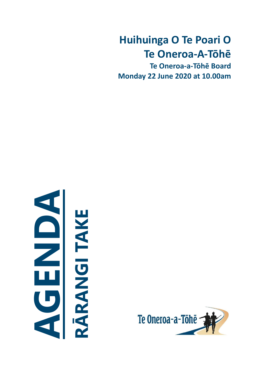# **Huihuinga O Te Poari O Te Oneroa-A-Tōhē**

**Te Oneroa-a-Tōhē Board Monday 22 June 2020 at 10.00am**

# **ARANGITAKE RĀRANGI TAKE**

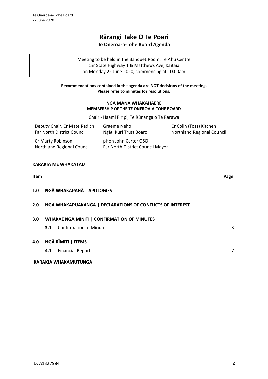# **Rārangi Take O Te Poari Te Oneroa-a-Tōhē Board Agenda**

Meeting to be held in the Banquet Room, Te Ahu Centre cnr State Highway 1 & Matthews Ave, Kaitaia on Monday 22 June 2020, commencing at 10.00am

### **Recommendations contained in the agenda are NOT decisions of the meeting. Please refer to minutes for resolutions.**

### **NGĀ MANA WHAKAHAERE MEMBERSHIP OF THE TE ONEROA-A-TŌHĒ BOARD**

Chair - Haami Piripi, Te Rūnanga o Te Rarawa

| Deputy Chair, Cr Mate Radich                    | Graeme Neho                                              | Cr Colin (Toss) Kitchen           |
|-------------------------------------------------|----------------------------------------------------------|-----------------------------------|
| Far North District Council                      | Ngāti Kuri Trust Board                                   | <b>Northland Regional Council</b> |
| Cr Marty Robinson<br>Northland Regional Council | pHon John Carter QSO<br>Far North District Council Mayor |                                   |

### **KARAKIA ME WHAKATAU**

# **Item Page 1.0 NGĀ WHAKAPAHĀ | APOLOGIES 2.0 NGA WHAKAPUAKANGA | DECLARATIONS OF CONFLICTS OF INTEREST 3.0 WHAKĀE NGĀ MINITI | CONFIRMATION OF MINUTES [3](#page-2-0).1** Confirmation of Minutes 3 **4.0 NGĀ RĪMITI | ITEMS 4.1** Financial Report [7](#page-6-0) **KARAKIA WHAKAMUTUNGA**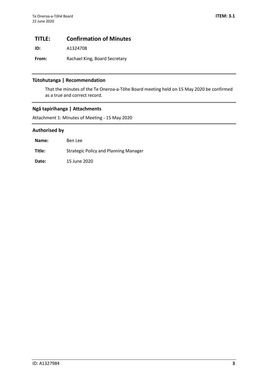# <span id="page-2-0"></span>**TITLE: Confirmation of Minutes**

**ID:** A1324708

**From:** Rachael King, Board Secretary

### **Tūtohutanga | Recommendation**

That the minutes of the Te Oneroa-a-Tōhe Board meeting held on 15 May 2020 be confirmed as a true and correct record.

### **Ngā tapirihanga | Attachments**

Attachment 1: Minutes of Meeting - 15 May 2020

### **Authorised by**

| Name:  | Ben Lee                               |
|--------|---------------------------------------|
| Title: | Strategic Policy and Planning Manager |
| Date:  | 15 June 2020                          |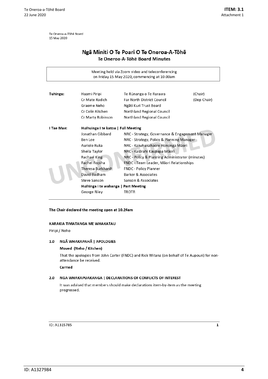Te Oneroa-a-Tōhē Board 15 May 2020

## Ngā Miniti O Te Poari O Te Oneroa-A-Tōhē Te Oneroa-A-Tōhē Board Minutes

| Tuhinga:<br>Haami Piripi<br>Te Rūnanga o Te Rarawa<br>(Chair)<br>Cr Mate Radich<br><b>Far North District Council</b><br>(Dep Chair)<br>Graeme Neho<br>Ngāti Kuri Trust Board<br>Cr Colin Kitchen<br><b>Northland Regional Council</b><br>Northland Regional Council<br>Cr Marty Robinson<br>I Tae Mae:<br>Huihuinga I te katoa   Full Meeting<br>Jonathan Gibbard<br>NRC - Strategy, Governance & Engagement Manager<br>Ben Lee<br>NRC - Strategy, Policy & Planning Manager<br>Auriole Ruka<br>NRC - Kaiwhakahaere Hononga Māori<br>Sheila Taylor<br>NRC - Kaiārahi Kaupapa Māori<br>NRC - Policy & Planning Administrator (minutes)<br>Rachael King<br>Rachel Ropiha<br>FNDC - Team Leader, Māori Relationships<br>Theresa Burkhardt<br><b>FNDC - Policy Planner</b><br>David Badham<br><b>Barker &amp; Associates</b><br>Steve Sanson<br>Sanson & Associates | Meeting held via Zoom video and teleconferencing<br>on Friday 15 May 2020, commencing at 10.00am |  |  |  |  |  |  |  |
|-----------------------------------------------------------------------------------------------------------------------------------------------------------------------------------------------------------------------------------------------------------------------------------------------------------------------------------------------------------------------------------------------------------------------------------------------------------------------------------------------------------------------------------------------------------------------------------------------------------------------------------------------------------------------------------------------------------------------------------------------------------------------------------------------------------------------------------------------------------------|--------------------------------------------------------------------------------------------------|--|--|--|--|--|--|--|
|                                                                                                                                                                                                                                                                                                                                                                                                                                                                                                                                                                                                                                                                                                                                                                                                                                                                 |                                                                                                  |  |  |  |  |  |  |  |
|                                                                                                                                                                                                                                                                                                                                                                                                                                                                                                                                                                                                                                                                                                                                                                                                                                                                 |                                                                                                  |  |  |  |  |  |  |  |
|                                                                                                                                                                                                                                                                                                                                                                                                                                                                                                                                                                                                                                                                                                                                                                                                                                                                 |                                                                                                  |  |  |  |  |  |  |  |
|                                                                                                                                                                                                                                                                                                                                                                                                                                                                                                                                                                                                                                                                                                                                                                                                                                                                 |                                                                                                  |  |  |  |  |  |  |  |
|                                                                                                                                                                                                                                                                                                                                                                                                                                                                                                                                                                                                                                                                                                                                                                                                                                                                 |                                                                                                  |  |  |  |  |  |  |  |
|                                                                                                                                                                                                                                                                                                                                                                                                                                                                                                                                                                                                                                                                                                                                                                                                                                                                 |                                                                                                  |  |  |  |  |  |  |  |
|                                                                                                                                                                                                                                                                                                                                                                                                                                                                                                                                                                                                                                                                                                                                                                                                                                                                 |                                                                                                  |  |  |  |  |  |  |  |
|                                                                                                                                                                                                                                                                                                                                                                                                                                                                                                                                                                                                                                                                                                                                                                                                                                                                 |                                                                                                  |  |  |  |  |  |  |  |
|                                                                                                                                                                                                                                                                                                                                                                                                                                                                                                                                                                                                                                                                                                                                                                                                                                                                 |                                                                                                  |  |  |  |  |  |  |  |
|                                                                                                                                                                                                                                                                                                                                                                                                                                                                                                                                                                                                                                                                                                                                                                                                                                                                 |                                                                                                  |  |  |  |  |  |  |  |
|                                                                                                                                                                                                                                                                                                                                                                                                                                                                                                                                                                                                                                                                                                                                                                                                                                                                 |                                                                                                  |  |  |  |  |  |  |  |
|                                                                                                                                                                                                                                                                                                                                                                                                                                                                                                                                                                                                                                                                                                                                                                                                                                                                 |                                                                                                  |  |  |  |  |  |  |  |
|                                                                                                                                                                                                                                                                                                                                                                                                                                                                                                                                                                                                                                                                                                                                                                                                                                                                 |                                                                                                  |  |  |  |  |  |  |  |
|                                                                                                                                                                                                                                                                                                                                                                                                                                                                                                                                                                                                                                                                                                                                                                                                                                                                 |                                                                                                  |  |  |  |  |  |  |  |
|                                                                                                                                                                                                                                                                                                                                                                                                                                                                                                                                                                                                                                                                                                                                                                                                                                                                 |                                                                                                  |  |  |  |  |  |  |  |
|                                                                                                                                                                                                                                                                                                                                                                                                                                                                                                                                                                                                                                                                                                                                                                                                                                                                 |                                                                                                  |  |  |  |  |  |  |  |
| Huihinga i te wahanga   Part Meeting                                                                                                                                                                                                                                                                                                                                                                                                                                                                                                                                                                                                                                                                                                                                                                                                                            |                                                                                                  |  |  |  |  |  |  |  |
| George Riley<br>TROTR                                                                                                                                                                                                                                                                                                                                                                                                                                                                                                                                                                                                                                                                                                                                                                                                                                           |                                                                                                  |  |  |  |  |  |  |  |

### The Chair declared the meeting open at 10.24am

### KARAKIA TIMATANGA ME WHAKATAU

Piripi / Neho

### 1.0 NGĀ WHAKAPAHĀ | APOLOGIES

### Moved (Neho / Kitchen)

That the apologies from John Carter (FNDC) and Rick Witana (on behalf of Te Aupouri) for nonattendance be received.

Carried

### 2.0 NGA WHAKAPUAKANGA | DECLARATIONS OF CONFLICTS OF INTEREST

It was advised that members should make declarations item-by-item as the meeting progressed.

### ID: A1315785

 $\mathbf 1$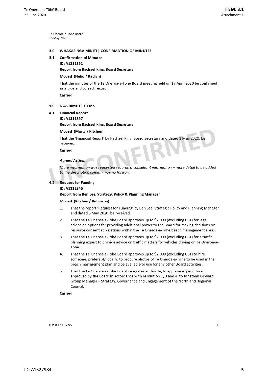Te Oneroa-a-Töhe Board 15 May 2020

### WHAKĀE NGĀ MINITI | CONFIRMATION OF MINUTES  $3.0$

### **Confirmation of Minutes**  $3.1$

ID: A1311351

### Report from Rachael King, Board Secretary

### Moved (Neho / Radich)

That the minutes of the Te Oneroa-a-Tōhe Board meeting held on 17 April 2020 be confirmed as a true and correct record.

Carried

### 4.0 NGĀ RIMITI | ITEMS

- $4.1$ **Financial Report** 
	- ID: A1311357

### Report from Rachael King, Board Secretary

### Moved (Marty / Kitchen)

That the 'Financial Report' by Rachael King, Board Secretary and dated 1 May 2020, be received.

Carried

### **Agreed Action:**

More information was requested regarding consultant information - more detail to be added to the description column moving forward

### $4.2$ **Request for Funding**

### ID: A1312345

### Report from Ben Lee, Strategy, Policy & Planning Manager

### Moved (Kitchen / Robinson)

- That the report 'Request for Funding' by Ben Lee, Strategic Policy and Planning Manager 1. and dated 5 May 2020, be received.
- That the Te Oneroa-a-Tōhē Board approves up to \$2,000 (excluding GST) for legal  $2.$ advice on options for providing additional power to the Board for making decisions on resource consent applications within the Te Oneroa-a-Tōhē beach management areas.
- That the Te Oneroa-a-Tōhē Board approves up to \$2,000 (excluding GST) for a traffic 3. planning expert to provide advice on traffic matters for vehicles driving on Te Oneroa-a-Tōhē.
- That the Te Oneroa-a-Tōhē Board approves up to \$2,000 (excluding GST) to hire 4. someone, preferably locally, to procure photos of Te Oneroa-a-Tōhē to be used in the beach management plan and be available to use for any other Board activities.
- 5. That the Te Oneroa-a-Tōhē Board delegates authority, to approve expenditure approved by the Board in accordance with resolution 2, 3 and 4, to Jonathan Gibbard, Group Manager - Strategy, Governance and Engagement of the Northland Regional Council.

Carried

ID: A1315785

 $\overline{2}$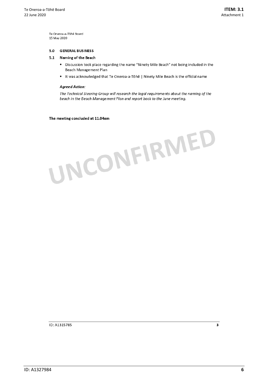Te Oneroa-a-Tōhē Board 15 May 2020

### $5.0$ **GENERAL BUSINESS**

### 5.1 Naming of the Beach

- Discussion took place regarding the name "Ninety Mile Beach" not being included in the Beach Management Plan
- It was acknowledged that Te Oneroa-a-Tōhē | Ninety Mile Beach is the official name

### **Agreed Action:**

The Technical Steering Group will research the legal requirements about the naming of the beach in the Beach Management Plan and report back to the June meeting.

The meeting concluded at 11.04am



ID: A1315785

3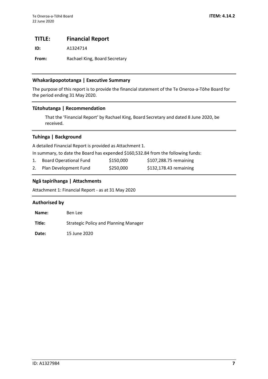# <span id="page-6-0"></span>**TITLE: Financial Report**

**ID:** A1324714

From: Rachael King, Board Secretary

### **Whakarāpopototanga | Executive Summary**

The purpose of this report is to provide the financial statement of the Te Oneroa-a-Tōhe Board for the period ending 31 May 2020.

### **Tūtohutanga | Recommendation**

That the 'Financial Report' by Rachael King, Board Secretary and dated 8 June 2020, be received.

### **Tuhinga | Background**

A detailed Financial Report is provided as Attachment 1.

In summary, to date the Board has expended \$160,532.84 from the following funds:

| Board Operational Fund | \$150,000 | \$107,288.75 remaining |
|------------------------|-----------|------------------------|
| Plan Development Fund  | \$250,000 | \$132,178.43 remaining |

### **Ngā tapirihanga | Attachments**

Attachment 1: Financial Report - as at 31 May 2020

### **Authorised by**

| Name:  | Ben Lee                                      |
|--------|----------------------------------------------|
| Title: | <b>Strategic Policy and Planning Manager</b> |
|        |                                              |

**Date:** 15 June 2020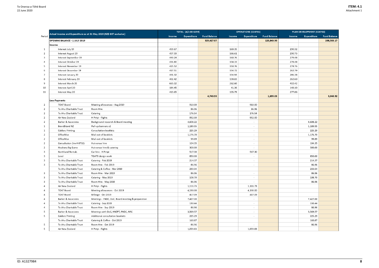|        | Actual Income and Expenditure as at 31 May 2020 (NZ\$ GST exclusive) |                                                   | TOTAL (A/c 00-6259) |             |                     | <b>OPERATIONS (CC4701)</b> |                          |                     |  |
|--------|----------------------------------------------------------------------|---------------------------------------------------|---------------------|-------------|---------------------|----------------------------|--------------------------|---------------------|--|
| Period |                                                                      |                                                   | Income              | Expenditure | <b>Fund Balance</b> | Income                     | <b>Expenditure</b>       | <b>Fund Balance</b> |  |
|        | <b>OPENING BALANCE - 1 JULY 2019</b>                                 |                                                   |                     |             | 329,427.07          |                            |                          | 120,843.90          |  |
|        | Income                                                               |                                                   |                     |             |                     |                            |                          |                     |  |
| 1      | Interest July 19                                                     |                                                   | 459.67              |             |                     | 169.35                     |                          |                     |  |
| 2      | Interest August 19                                                   |                                                   | 457.33              |             |                     | 166.61                     |                          |                     |  |
| 3      | Interest September 19                                                |                                                   | 440.24              |             |                     | 160.76                     |                          |                     |  |
| 4      | Interest October 19                                                  |                                                   | 436.80              |             |                     | 158.33                     |                          |                     |  |
| 5      | Interest November 19                                                 |                                                   | 425.52              |             |                     | 150.76                     |                          |                     |  |
| 6      | Interest December 19                                                 |                                                   | 417.51              |             |                     | 154.72                     |                          |                     |  |
| 7      | Interest January 20                                                  |                                                   | 441.32              |             |                     | 154.94                     |                          |                     |  |
| 8      | Interest February 20                                                 |                                                   | 402.42              |             |                     | 139.83                     |                          |                     |  |
| 9      | Interest March 20                                                    |                                                   | 665.02              |             |                     | 262.60                     |                          |                     |  |
| 10     | Interest April 20                                                    |                                                   | 184.45              |             |                     | 41.36                      |                          |                     |  |
| 11     | Interest May 20                                                      |                                                   | 413.65              |             |                     | 135.79                     |                          |                     |  |
|        |                                                                      |                                                   |                     |             | 4,743.93            |                            |                          | 1,695.03            |  |
|        | Less Payments                                                        |                                                   |                     |             |                     |                            |                          |                     |  |
| 2      | <b>TOAT Board</b>                                                    | Meeting allowances - Aug 2019                     |                     | 910.00      |                     |                            | 910.00                   |                     |  |
| 2      | Te Ahu Charitable Trust                                              | Room Hire                                         |                     | 86.96       |                     |                            | 86.96                    |                     |  |
| 2      | Te Ahu Charitable Trust                                              | Catering                                          |                     | 176.54      |                     |                            | 176.54                   |                     |  |
| 2      | Air New Zealand                                                      | H Piripi - flights                                |                     | 952.00      |                     |                            | 952.00                   |                     |  |
| 2      | Barker & Associates                                                  | Background research & Board meeting               |                     | 4,608.22    |                     |                            |                          |                     |  |
| 1      | <b>BrandStand NZ</b>                                                 | Pull-up banners x2                                |                     | 1,189.55    |                     |                            | $\overline{\phantom{a}}$ |                     |  |
| 1      | <b>Calders Printing</b>                                              | Consultation booklets                             |                     | 225.29      |                     |                            |                          |                     |  |
| 2      | OfficeMax                                                            | Mail-out of booklets                              |                     | 1,176.70    |                     |                            | $\overline{\phantom{a}}$ |                     |  |
| 2      | OfficeMax                                                            | Mail-out of booklets                              |                     | 99.89       |                     |                            | $\overline{\phantom{a}}$ |                     |  |
| 2      | Consultation (Inv # 0732)                                            | Hui venue hire                                    |                     | 104.35      |                     |                            | $\overline{\phantom{a}}$ |                     |  |
| 2      | Houhora Big Game                                                     | Hui venue hire & catering                         |                     | 300.00      |                     |                            |                          |                     |  |
| 3      | Northland Rentals                                                    | Car hire - H Piripi                               |                     | 517.30      |                     |                            | 517.30                   |                     |  |
| 3      | Level                                                                | TOATB design work                                 |                     | 850.00      |                     |                            |                          |                     |  |
| 3      | Te Ahu Charitable Trust                                              | Catering - Feb 2019                               |                     | 214.37      |                     |                            | $\overline{\phantom{a}}$ |                     |  |
| 3      | Te Ahu Charitable Trust                                              | Room Hire - Feb 2019                              |                     | 86.96       |                     |                            |                          |                     |  |
|        | Te Ahu Charitable Trust                                              | Catering & Coffee - Mar 2019                      |                     | 233.04      |                     |                            |                          |                     |  |
| 3      | Te Ahu Charitable Trust                                              | Room Hire - Mar 2019                              |                     | 86.96       |                     |                            | $\overline{\phantom{a}}$ |                     |  |
| 3      | Te Ahu Charitable Trust                                              | Catering - May 2019                               |                     | 108.70      |                     |                            | $\sim$                   |                     |  |
| 3      | Te Ahu Charitable Trust                                              | Room Hire - May 2019                              |                     | 86.96       |                     |                            | $\overline{\phantom{a}}$ |                     |  |
| 4      | Air New Zealand                                                      | H Piripi - flights                                |                     | 1,111.73    |                     |                            | 1,111.73                 |                     |  |
| 4      | <b>TOAT Board</b>                                                    | Meeting allowances - Oct 2019                     |                     | 4,190.00    |                     |                            | 4,190.00                 |                     |  |
| 4      | <b>TOAT Board</b>                                                    | Mileage - Oct 2019                                |                     | 417.09      |                     |                            | 417.09                   |                     |  |
| 4      | Barker & Associates                                                  | Meetings - FNDC, DoC, Board meeting & preparation |                     | 7,427.00    |                     |                            | $\overline{\phantom{a}}$ |                     |  |
| 4      | Te Ahu Charitable Trust                                              | Catering - Sep 2019                               |                     | 130.44      |                     |                            | $\overline{\phantom{a}}$ |                     |  |
| Δ      | Te Ahu Charitable Trust                                              | Room Hire - Sep 2019                              |                     | 86.96       |                     |                            | $\overline{\phantom{a}}$ |                     |  |
| 5      | Barker & Associates                                                  | Meetings with DoC, HNZPT, FNDC, NRC               |                     | 3,569.57    |                     |                            | $\overline{\phantom{a}}$ |                     |  |
| 5      | <b>Calders Printing</b>                                              | Additional consultation booklets                  |                     | 225.29      |                     |                            | $\overline{\phantom{a}}$ |                     |  |
|        | Te Ahu Charitable Trust                                              | Catering & Coffee - Oct 2019                      |                     | 160.87      |                     |                            |                          |                     |  |
| 5      | Te Ahu Charitable Trust                                              | Room Hire - Oct 2019                              |                     | 86.96       |                     |                            | $\overline{\phantom{a}}$ |                     |  |
| 5      | Air New Zealand                                                      | H Piripi - flights                                |                     | 1,059.83    |                     |                            | 1,059.83                 |                     |  |

### **ITEM: 4.1** Attachment 1

| PLAN DEVELOPMENT (CC4702) |                    |                     |  |  |
|---------------------------|--------------------|---------------------|--|--|
| Income                    | <b>Expenditure</b> | <b>Fund Balance</b> |  |  |
|                           |                    | 208,583.17          |  |  |
|                           |                    |                     |  |  |
| 290.32                    |                    |                     |  |  |
| 290.73                    |                    |                     |  |  |
| 279.48                    |                    |                     |  |  |
| 278.48                    |                    |                     |  |  |
| 274.76                    |                    |                     |  |  |
| 262.79                    |                    |                     |  |  |
| 286.38                    |                    |                     |  |  |
| 262.60                    |                    |                     |  |  |
| 402.42                    |                    |                     |  |  |
| 143.10                    |                    |                     |  |  |
| 277.86                    |                    |                     |  |  |
|                           |                    | 3,048.92            |  |  |
|                           |                    |                     |  |  |
|                           |                    |                     |  |  |
|                           |                    |                     |  |  |
|                           |                    |                     |  |  |
|                           |                    |                     |  |  |
|                           | 4,608.22           |                     |  |  |
|                           | 1,189.55           |                     |  |  |
|                           | 225.29             |                     |  |  |
|                           | 1,176.70           |                     |  |  |
|                           | 99.89              |                     |  |  |
|                           | 104.35             |                     |  |  |
|                           | 300.00             |                     |  |  |
|                           |                    |                     |  |  |
|                           | 850.00             |                     |  |  |
|                           | 214.37             |                     |  |  |
|                           | 86.96              |                     |  |  |
|                           | 233.04             |                     |  |  |
|                           | 86.96              |                     |  |  |
|                           | 108.70             |                     |  |  |
|                           | 86.96              |                     |  |  |
|                           |                    |                     |  |  |
|                           |                    |                     |  |  |
|                           |                    |                     |  |  |
|                           | 7,427.00           |                     |  |  |
|                           | 130.44             |                     |  |  |
|                           | 86.96              |                     |  |  |
|                           | 3,569.57           |                     |  |  |
|                           | 225.29             |                     |  |  |
|                           | 160.87             |                     |  |  |
|                           | 86.96              |                     |  |  |
|                           |                    |                     |  |  |